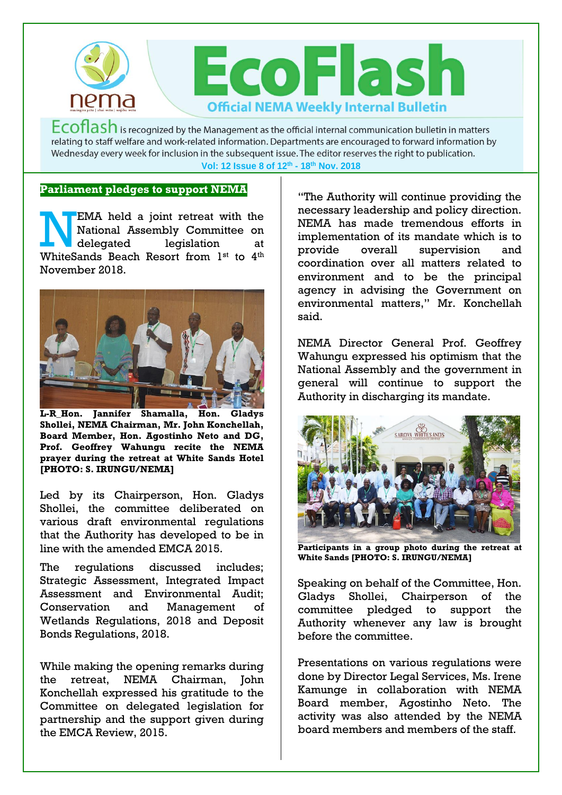

 $Ecoflash$  is recognized by the Management as the official internal communication bulletin in matters relating to staff welfare and work-related information. Departments are encouraged to forward information by Wednesday every week for inclusion in the subsequent issue. The editor reserves the right to publication. **Vol: 12 Issue 8 of 12th - 18 th Nov. 2018**

#### **Parliament pledges to support NEMA**

EMA held a joint retreat with the National Assembly Committee on delegated legislation at EMA held a joint retreat with the<br>National Assembly Committee on<br>delegated legislation at<br>WhiteSands Beach Resort from 1<sup>st</sup> to 4<sup>th</sup> November 2018.



**L-R\_Hon. Jannifer Shamalla, Hon. Gladys Shollei, NEMA Chairman, Mr. John Konchellah, Board Member, Hon. Agostinho Neto and DG, Prof. Geoffrey Wahungu recite the NEMA prayer during the retreat at White Sands Hotel [PHOTO: S. IRUNGU/NEMA]** 

Led by its Chairperson, Hon. Gladys Shollei, the committee deliberated on various draft environmental regulations that the Authority has developed to be in line with the amended EMCA 2015.

The regulations discussed includes; Strategic Assessment, Integrated Impact Assessment and Environmental Audit; Conservation and Management of Wetlands Regulations, 2018 and Deposit Bonds Regulations, 2018.

While making the opening remarks during the retreat, NEMA Chairman, John Konchellah expressed his gratitude to the Committee on delegated legislation for partnership and the support given during the EMCA Review, 2015.

"The Authority will continue providing the necessary leadership and policy direction. NEMA has made tremendous efforts in implementation of its mandate which is to provide overall supervision and coordination over all matters related to environment and to be the principal agency in advising the Government on environmental matters," Mr. Konchellah said.

NEMA Director General Prof. Geoffrey Wahungu expressed his optimism that the National Assembly and the government in general will continue to support the Authority in discharging its mandate.



**Participants in a group photo during the retreat at White Sands [PHOTO: S. IRUNGU/NEMA]** 

Speaking on behalf of the Committee, Hon. Gladys Shollei, Chairperson of the committee pledged to support the Authority whenever any law is brought before the committee.

Presentations on various regulations were done by Director Legal Services, Ms. Irene Kamunge in collaboration with NEMA Board member, Agostinho Neto. The activity was also attended by the NEMA board members and members of the staff.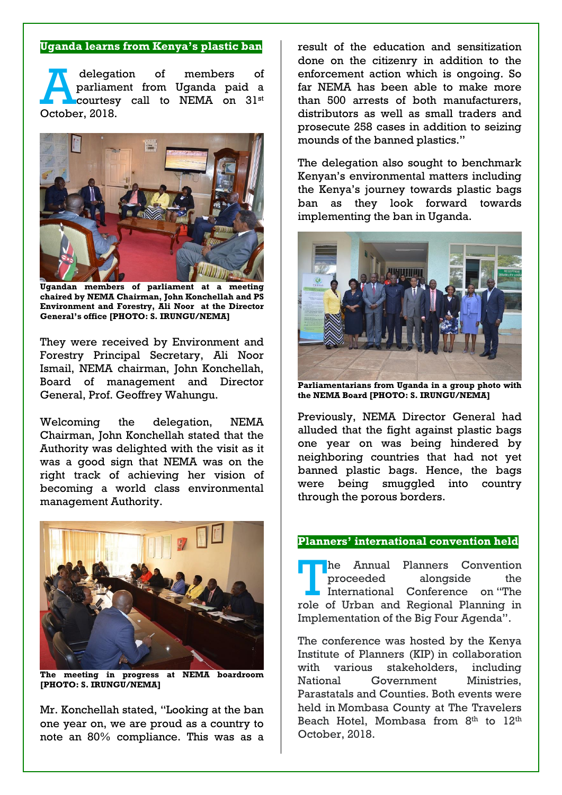# **Uganda learns from Kenya's plastic ban**

delegation of members of parliament from Uganda paid a courtesy call to NEMA on 31st delegat<br>
parliam<br>
courtes



**Ugandan members of parliament at a meeting chaired by NEMA Chairman, John Konchellah and PS Environment and Forestry, Ali Noor at the Director General's office [PHOTO: S. IRUNGU/NEMA]** 

They were received by Environment and Forestry Principal Secretary, Ali Noor Ismail, NEMA chairman, John Konchellah, Board of management and Director General, Prof. Geoffrey Wahungu.

Welcoming the delegation, NEMA Chairman, John Konchellah stated that the Authority was delighted with the visit as it was a good sign that NEMA was on the right track of achieving her vision of becoming a world class environmental management Authority.



**The meeting in progress at NEMA boardroom [PHOTO: S. IRUNGU/NEMA]** 

Mr. Konchellah stated, "Looking at the ban one year on, we are proud as a country to note an 80% compliance. This was as a

result of the education and sensitization done on the citizenry in addition to the enforcement action which is ongoing. So far NEMA has been able to make more than 500 arrests of both manufacturers, distributors as well as small traders and prosecute 258 cases in addition to seizing mounds of the banned plastics."

The delegation also sought to benchmark Kenyan's environmental matters including the Kenya's journey towards plastic bags ban as they look forward towards implementing the ban in Uganda.



**Parliamentarians from Uganda in a group photo with the NEMA Board [PHOTO: S. IRUNGU/NEMA]** 

Previously, NEMA Director General had alluded that the fight against plastic bags one year on was being hindered by neighboring countries that had not yet banned plastic bags. Hence, the bags were being smuggled into country through the porous borders.

### **Planners' international convention held**

he Annual Planners Convention proceeded alongside the International Conference on "The The Annual Planners Convention<br>
proceeded alongside the<br>
International Conference on "The<br>
role of Urban and Regional Planning in Implementation of the Big Four Agenda".

The conference was hosted by the Kenya Institute of Planners (KIP) in collaboration with various stakeholders, including National Government Ministries, Parastatals and Counties. Both events were held in Mombasa County at The Travelers Beach Hotel, Mombasa from 8<sup>th</sup> to  $12^{\text{th}}$ October, 2018.